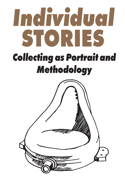# The hyje to discribe STORIES *Collecting as Portrait and Methodology*

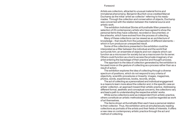Artists are collectors, attracted to unusual material forms and immaterial phenomena. Benjamin Buchloh once credited Marcel Duchamp as the initial 'artist-as-collector' referring to his readymades. Through the collection and conservation of objects, Duchamp was concerned with the relation between the material source and artistic work.

The exhibition *Individual Stories* at Kunsthalle Wien presents a personal items they have collected, recorded or documented, or Many of these collections can be viewed as an architecture of

selection of 20 contemporary artists who have agreed to show the the artworks, which have evolved from the process of collecting. knowledge – that results from the juxtaposition of different elements – which in turn produce an unexpected result.

Some of the collections presented in the exhibition could be interpreted as a filter between the individual and the world that surrounds him; an ensemble of objects and non-objects which can function as a microcosm for society but as a macrocosm for its owner. Others could function as a tool to access the private imaginary of an artist entering the backstage of their practice and thought-process. The approach to the idea of collection generated by the exhibition is focused more on the gesture of collecting as a process rather than as a

result of action.

The exhibition explores the idea of collecting through a diverse spectrum of positions, which do not respond to any criteria of objectivity, scientific procedures or linearity: images, magazines, photos, words, experiences, books, records, shoes.

The act of collecting as a personalized and individual engagement is a means to learn more about the collector and, in the specific case an artists' collection, an approach toward their artistic practice. Addressing different formal, aesthetic and conceptual concerns, the collections vary and lead a path to understanding the respective artists' works.

While some collections exist as independent from artistic practice, others constitute an artistic methodology or could be regarded as work of art themselves.

The items shown at Kunsthalle Wien each have a personal relation to their collector. Thus, the exhibition aims at simultaneously reading collections as portraits of the artists and their fields of interests. It offers a new view on contemporary artistic practice through the act and method of collecting.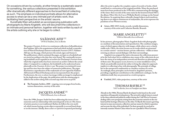**allow the artist to gather the complete copies of records or books, which would lead to a restoration of the original portfolio. Many the purchased items have been produced in the 1970s thus communicating the ideology of the times: three records of the same name by the krautrock band NEU!, the album** *I Want More* **by Can or Wilhelm Reich's writings on the Sexual Revolution. In acquiring these culturally charged objects and transforming them to art objects reminiscent of readymades, the artist expresses the paradoxes of our Western society.**

 **Arters, 2002-2015, books, records, variable dimensions, courtesy of the artist and Catherine Bastide, Brussels**

# **MARIE ANGELETTI [3]**

*\*1984 in Marseille, lives in Brussels*

**In her pictures, photographer Marie Angeletti deals with photography as a medium of documentation and reproduction. She combines images, some of which appear objective with images, while others carry a clearly visible style. Often, the artist focuses on art works which are presented in a certain context – auction houses, private collections – whilst at times entering an almost surreal dialogue with their surroundings. Angeletti was assigned the task to document the collections presented in the** *Individual Stories* **exhibition since many of the collections do not have the status of an independent artwork and therefore no photographs of them exist. The purpose is not, however, to create installation views, which are preferably neutral, but rather to bring the subjective approach implicit to collecting in line with photography. The principle of collage lies in the unexpected combination or causeless creation of a series. Accordingly, these principles can be found in Angeletti's pictures, providing a significant contribution to the exhibition's catalogue. In the exhibition itself, they are presented as a work in progress.**

 **Untitled, 2015, video projection, courtesy of the artist** 

# **THOMAS BAYRLE [4]**

*\*1937 in Berlin, lives in Frankfurt am Main*

**Already in the 1960s, Thomas Bayrle developed works based on the serial repetition of frequently trivial patterns. The artwork's radical vision is rooted in the deep cultural and political conflict during the Cold War in Germany: dealing with a new prosperity arising from the economic miracle on the one hand and the heritage of fascism on the other. To Bayrle this meant a growing interest in mass movements, collectives and any means by which to question and recreate the idea of the individual. On these grounds, he was lead to intensely examine Maoist China where he saw a parallel to West Germany** 

# **SAÂDANE AFIF [1]**

*\*1970 in Vendôme, lives in Berlin*

**The project** *Fountain Archives* **is a continuous collection of all publications that Saâdane Afif or his acquaintances find and which include a reproduction of Marcel Duchamp's famous readymade** *Fountain* **(1917). Saâdane Afif rips out the page, which pictures the urinal, signs and frames it. The publications, which contained the pages, are kept on a bookshelf and are sorted according to the date they were found. The continually increasing bookshelf can be regarded as an archive for Duchamp's** *Fountain* **from which the original author has been removed: an archive without the actual object. Compared to a sculpture, the bookshelf can be understood metaphorically as the** *Fountain Archive's* **cast. The project was initiated 6 years ago and has since been the subject of numerous publications. The pages that feature a reproduction of the readymade are now signed by Saâdane Afif instead of Marcel Duchamp and are incorporated into the project. Furthermore, the** *mise en abyme* **(an image within an image) is emphasized by the duplication of the page: the publication with the missing page is added to the archive along with a second copy that serves as proof.**

 **The Fountain Archive, 2008 – ongoing, torn out pages from books, various dimensions, courtesy of the artist**

> **JACQUES ANDRÉ [2]** *\*1969 in Brussels, lives in Brussels*

**Since the 1990s, Jacques André has been addressing the issues of consumerism and our relationship with material goods in his art. His choice of artistic practice is not traditional. Rather, he follows his own method, which means buying certain objects repeatedly in second hand shops or on the internet. Ideally, these** *achats en répétition* **(repeated purchasing)** 

On occasions driven by curiosity, at other times by a systematic search for something, the various collections presented in the exhibition offer dramatically different approaches to the broad field of collecting as such. The emphasis on individual portraits allows for alternative access to what can be a very intimate part of artistic work, thus facilitating fresh perspective on the artists' oeuvre.

Kunsthalle Wien will publish an accompanying publication with photographs by Marie Angeletti, who will document the collections in an intimate and personal fashion, together with texts written by each of the artists outlining why she or he began to collect.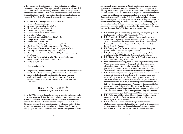**in a seemingly conceptual manner. At a closer glance, these arrangements appear as memories of their former owners and serve as a compilation of memory traces. Prints, in particular, left by someone on an object, are proof of a former presence and the interaction of subject and object: foot prints on a carpet, traces of lipstick on a champagne glass or on a flute. Barbara Bloom's pieces are well known for their literal and visual allusions; found works are interpreted in a new way and the aesthetics of the presentation are reminiscent of the setting in a museum. It is through the seemingly objective way of presenting that everyday items, ordinary and exquisite objects are suddenly charged with history and stories. The actual meaning the items hold and for whom they hold it, however, remains unverified.**

- **BB. Book: Esprit de l'Escalier***,* **paperbound, with original gold-leaf bookmark, 36 pp. Buffalo, N.Y.: Hallwalls, 1988.**
- **BB. Watermark III 13/15, one of a set of seven handmade paper sheets bearing a photographic watermark image of a UFO sighting (each sheet carrying a different image), 1988. Each 37 x 31 inches. Produced by Dieu Donné Papermill, New York. Edition of 15. From:** *Esprit de l'Escalier***.**
- **BB. Fingerprint Scarf, silk scarf with screen-printed fingerprint pattern, 1996. 17 x 43 inches. Signed on scarf.**
- **BB. Champagne Flutes (His/Hers), pair of champagne flutes, one with lipstick print, 1996. Height: 8 inches. Signed on glasses.**
- **BB. CD cover for chrismann and the use, CD back cover with tea stain. New York: Lovely Music, 2007.**
- **Watermark portrait teacup, the technique originated in early Ming China when, under Emperor Yongle, a fresh sobriety in design dictated a shift away from brightly painted ceramics and toward porcelain of pure white, the color of filial devotion and mourning. Those beautiful stretches of white offered new room for ghosts.**
- **BB. "Watermark" portrait teacup, porcelain cup, the base impressed with a portrait of the artist, bordered with a repeating pattern of the artist's signature in gold. From:** *The Reign of Narcissism***, 1989. So-called "watermark" porcelain carries secret images pressed into the surface beneath the glaze, thinning the porcelain such that, when lit from behind, a picture emerges. When one of these cups of BB's is tipped up, a spectral vision of her shines up from the bottom.**
- **Photograph of human footprints on the Moon, digital reproduction of astronaut's footprint in lunar soil, photographed during the Apollo 11 extravehicular activity on the Moon, from NASA Johnson Space Center.**
- **BB. Works for the Blind***,* **offset lithography and Braille on paper, mounted beneath cut Plexiglas, framed, 60,96 cm x 91,44 cm. From:** *Esprit de l'Escalier* **(1987)**
- **BB. Vladimir Nabokov correction stamps, perforated sheet of 21 stamps reproducing Vladimir Nabokov's handwritten annotations and corrections to his printed works; below perforations, a citation from Nabokov's novel** *Pnin* **(1957). From: BB,** *Revised Evidence:*

**in the overcrowded shopping malls of western civilization and China's communist mass parades. Chinese propaganda magazines, which preceded the Cultural Revolution, were partly published in German and provided an important reference for the artist. Bayrle owns a considerable collection of these publications, which he presents together with a piece of wallpaper he composed. For its design, he adapted the aesthetics of the propaganda.** 

- **China im Bild, 8 magazines, ca. 40 x 30 x 5 cm** *China im Bild***, cut out pages:**
- **4** Arbeiter / Sandwerfer,  $46 \times 63 \times 5$  cm<br>**4** Krankenschwester,  $35 \times 46 \times 4$  cm
- **Krankenschwester, 35 x 46 x 4 cm**
- **Kartoffelzähler, 46 x 63 x 5 cm**
- **Laborantin / Schule, 48 x 62 x 5 cm**
- **Mr. Big, 48 x 62 x 5 cm**
- **Heaven / Mountain Climbers, 46 x 63 x 5 cm**
- **Langer Marsch, 46 x 63 x 5 cm**
- **Bahngleise, 53 x 73 x 3 cm**
- **Cotton Fabrik, 1971, silkscreen on paper, 77 x 60,5 cm**
- **Der Tiger übt, 1969, silkscreen on paper, 50 x 70 cm**
- **Distribution / Birne, 1971, silkscreen on paper, 82 x 78 cm**
- **Mr. Big, 1971, silkscreen on paper, 77 x 60,5 cm**
- **Revolutionäre Kräfte ernten Raps, 1968***,* **silkscreen on paper, 50 x 70 cm**
- **Motiv Sun Yat-sen (Zeichen für Mond), 2005, silkscreen, acrylic on cardboard, wood***,* **125 x 95 x 6 cm**
- **Wallpaper, 5 x 3 m**

**Courtesy of the artist**

- **Bergsteiger (Zeichen für Sonne), 2005, silkscreen, acrylic on cardboard, wood***,* **148 x 107 x 6 cm, courtesy of the artist and Air de Paris, Paris**
- **Laborantin (Zeichen für Feld), 2005, silkscreen, acrylic on cardboard, wood***,* **113,7 x 92,7 x 4,5 cm, courtesy of the artist, Galerie Barbara Weiss, Berlin and Gavin Brown's Enterprise, New York**

# **BARBARA BLOOM [5]**

*\*1951 in Los Angeles, lives in New York*

**Since the 1970s, Barbara Bloom has concerned herself with issues of collections, museology and design. She is especially interested in our investment in objects with which we surround ourselves and which represent us and our taste. Substantial parts of her work are recognized as a collection in different sections, reflecting upon the nature of collecting whilst offering a private portrait of the artist as a collector and storyteller. Accordingly, photographs, installations, films and books present arrangements of objects**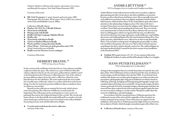# **ANDREA BÜTTNER [7]**

*\*1972 in Stuttgart, lives in London and Frankfurt am Main*

**Andrea Büttner works with numerous media such as woodcut, sculpture, glass painting and video. In her pieces, she often establishes a connection between social or ethical issues and history of art. She is especially interested in the different associations of poverty, dignity and shame and the relative belief systems, which reinforce them. In her work, Büttner quite often draws attention to the relationship of religion and art. Her video** *Little Sisters: Lunapark Ostia* **shows two nuns from the religious order "Kleine Schwestern von Jesus" ( Jesus' little sisters) speaking about their work. They run a booth at an amusement fair in Ostia not far from Rome. Büttner who won several times at a fishing game, which was organized by the nuns, was allowed to choose from the prizes: key rings, squirt guns, small cuddly toys, soap bubbles, also stones, and cardboard figures that the nuns had painted themselves. One of the souvenirs, which Büttner won, will now be on show in the Kunsthalle Wien: "I do not believe in the gesture of making the private public or rather, I do not believe this gesture to be true, ever. That is why I wanted to present something in the show, which is already a work of art. The cardboard figure on the bronze pedestal which I created for the show was part of my installation at the Documenta 2013."**

 $\ddot{\bullet}$  Untitled, 2012, paper, bronze,  $19 \times 21 \times 15$  cm, courtesy of the artist, **Hollybush Gardens, London and David Kordansky Gallery, Los Angeles**

# **HANS-PETER FELDMANN [8]** *\*1941 in Düsseldorf, lives in Düsseldorf*

**Acting on the assumption that art is strictly the product of a specific time and place, Hans-Peter Feldmann's art has revolved around the mass circulation of certain images, motifs and objects since the late 1960s. As a technical visual medium that shapes our everyday optical experiences as well as our ideas and perceptions, photography plays a big part in Feldman's art which is based on collecting, archiving, arranging and (re)organizing photographs, images and mundane objects that shape our everyday life. Art postcards, images of naked women, postcards of sunsets, newspaper images, calendar pages and shoes are removed from their context for the artist to put them together again this time in a new way and according to a certain criteria. Thereby, he makes them the source for exhibiting re-narrated analogies.**

**In accordance with his conceptual stance, Feldmann questions the traditional concept of the artist and the originality of the artwork in an incisive and quite ironic manner: None of his pieces are signed. For the exhibition,** *Individual Stories* **Feldmann presents high-heels not as footwear but as objects of fetish, which through accumulation gain a life of their own.**

 **Collection of female shoes, courtesy of the artist**

*Vladimir Nabokov's Collection of Inscriptions, Annotations, Corrections, and Butterfly Descriptions***. New York: Glenn Horowitz, 1999.**

**Courtesy of the artist**

 **BB. Girls' Footprints***,* **C-print, framed, and wool carpet, 2007, Photograph: 20 x 25 inches. Wool carpet: 156,2 x 246,3 cm, courtesy of the artist and Raffaella Cortese, Milan**

**Collection of Braille objects**

- **Playboy, Vol. XLI, No. 1 (Braille Edition)**
- **Wristwatch with Braille**
- **Playing cards with Braille**
- **Braille with Sign Language Alphabet Blocks**
- **Braille ruler**
- **Wine bottle with label in Braille**
- **2 letters to Barbara Bloom in Braille**
- **Plastic mold for casting chocolate Braille**
- **Ghost Writer Und wenn sie nicht gestorben sind, 1988. Artist's book with score in Braille**
- **Braille cover for Florence Loewy catalogue**

**Courtesy of the artist**

# **HERBERT BRANDL [6]**

*\*1959 in Graz, lives in Vienna*

**In the context of the exhibition** *Individual Stories***, four cabinets stand like sculptures within the space. The cabinets are a part of Herbert Brandl's cabinet collection that he, for the most part, gathered from exhibits stored at the Kunsthistorisches Museum's collecting point. One of the cabinets presents different objects from the artist's collection, which the artist himself chose for the exhibition. The artist understands the inaccessible but viewable space within the cabinet as a reality, which first needs formulating. For this, he intuitively positions different objects and places them in relation to one another.**

**Brandl sees his collection as material for his work, which always enters his painting. His collection of different crystals marks the beginning of his collecting activity, inciting him to create a series of paintings that mirror the sculptural shapes of the crystals. The swords and knives shown in the Kunsthalle also inspired Brandl to a number of works whose landscapes and horizons can be traced back to the collected blades' fascinating textures and colorful reflections of light.**

 **Crystals and swords from the artist's collection, courtesy of the artist**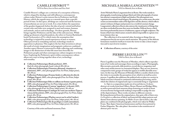# **MICHAELA MARIA LANGENSTEIN [10]**

*\* 1952 in Munich, lives in Rome*

**Artist Michaela Maria Langenstein lives in Rome. She works mainly in photography, transforming analogue black and white photographs of nature into abstract compositions of light and shadow. Her photograms turn vegetation into surreal visual imagery. By painting over certain areas, the artist creates an intermediate realm of the figurative and the abstract, which reflects nature's richness of shapes and presents it as a world of constant change. Langenstein's collection of leaves also mirrors the visual poetry of things that are often overlooked because they seem too familiar. Delicate leaves, which have been perforated by insects or hailstorms, appear as fragile sculptures. The beauty of leaf veins which nature created is almost impossible to capture even in an extreme close-up.**

**The collection is of no material value, focusing on things that are omnipresent but do not receive much attention. The poetry of the delicate formations stands for itself yet it trusts the viewer to take a closer inspection and to marvel at its wonders.**

**Collection of leaves, courtesy of the artist**

### **PIERRE LEGUILLON [11]** *\*1969 in Paris, lives in Brussels*

**Pierre Leguillon runs the Museum of Mistakes, which collects reproductions of art works and rearranges them according to topics. Photographs, film excerpts, postcards, slide positives, record sleeves, magazines and other mass media interact in customized displays. They are not, however, composed in static groups of works but appear as mobile alterable structures. In this way, the Museum of Mistakes follows a model, which invites the visitor to reconsider the perception of art, which is in itself an active process. Leguillon also addresses the political role art plays in a society in which everyone is bound to continuous information processing, and in which the relation of original and copy is constantly being re-negotiated.** 

*Le Tapis* **is a composition made out of record sleeves. It shows abstract art works from Josef Albers, Bruno Munari and Bridget Riley, as well as postcards from museum shops featuring art works in front of monochrome backgrounds making it impossible to judge the size of the depicted piece. These works circulate in different contexts. By being abstracted from the original piece, they gain a life of their own.**  *La Pergola* **is a collection of fabric and material that adapt patterns and themes from abstract painting. In** *Walker Evans (Spritzdekor),* **the cake plates are combined with photographs, which were taken by Walker Evans. They depict American businessmen and have been printed in Forbes Magazine. The cake plates' decoration is also reminiscent of abstract post-war art.**

# **CAMILLE HENROT [9]**

*\*1978 in Paris, lives in Paris and New York*

**Camille Henrot's collages are a criticism of a conception of history, which is shaped by ideology and still influences contemporary culture today. Henrot's acute interest lies in Prehistory and Early History, which she regards more as a mental space than a specific period of time. In this space, all things are connected and the barriers of monotheism are not yet at work. It is a time before the separation of the genders happened, before the idea of** *gender* **existed and before certain roles and tasks were assigned to men and women, humans and animals, and art and technology. On these gounds, Henrot brings together Prehistory and the idea of the subconscious. While taking up elements of psychoanalysis, she refers to Gaston Bachelard's book** *Psychoanalysis of Fire* **which states the assumption that technology is inspired by sexual experiences of men or women. Often perceived as something rational, technology stands in opposition to phantasy. This neglects the fact that invention is always the result of erratic imagination and pragmatic endeavors combined. Another aspect Henrot is interested in while collecting and combining images is the distinction of what life must have been like for Prehistoric people and what contemporary culture imagines it to have been. Exploring the Prehistoric spirit within contemporary culture allows new ways to bring together ideas of art, technology and sexuality.**

- **Collection Préhistorique (Boule perforée), 2009, black & white photograph, hand-colored, 80 x 60 cm**
- **Collection Préhistorique (Naturiste allemand, vitamines et minéraux), 2009 , color photograph (Fine Art Print, Inkjet print), 40 x 30 cm**
- **Collection Préhistorique (Femme fatale et collection de silex de Philippe Dagen), 2009, color photograph (Fine Art Print, Inkjet print), 40 x 30 cm**
- **Collection Préhistorique (Silex et cailloux sur femme á quatre pattes), 2009, color photograph (Fine Art Print, Inkjet print), 30 x 40 cm**
- **Collection Préhistorique (Couteau "appaloosa" et dessin), 2009, color photograph (Fine Art Print, Inkjet print), 30 x 40 cm**
- **Collection Préhistorique (Catalogue de vente aus enchères Tajan et vitesse de bicyclette), 2009, color photograph (Fine Art Print, Inkjet print), 40 x 30 cm**
- **Collection Préhistorique (Playboy ouvert sur le sol de l'atelier), 2009, color photograph (Fine Art Print, Inkjet print), 40 x 30 cm**
- **Collection Préhistorique (Ile du pacifique et outil contondant), 2009, color photograph (Fine Art Print, Inkjet print), 30 x 40 cm**

**Courtesy of the artist and kamel mennour, Paris**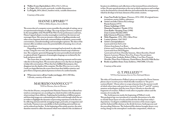**his pieces in exhibitions and collections or that stemmed from artists known to him. He pays special attention to the way in which experiences and overlaps can be documented in a formal reflection and understands the arrangements, which he develops to be basic elements of his artistic creation.**

- **Zona Non Profit Art Space, Florence, 1974-1985***,* **30 original items: invitations, poster, folders, ephemera**
- **Artist's records: Edition Recorthings Poesia Sonora (1975) Fluxus Anthology (1989) Maurizio Nannucci / Parole (1976) Zona Radio / Keeping Time (1998) Zone Carsten Nicolai (2003) John Giorno in Florence (2004)**
- **Mèla Magazine, 1976-1981, Offset Print**
- **5 artist's posters, 1967/2015**
- **Artist's correspondences 2 postcards from Sol Lewitt 2 letters from James Lee Byars 6 letters and 2 envelopes from Ian Hamilton Finlay 2 postcards from Dick Higgins 1 postcard each from: Dorothy Iannone, Alison Knowles, Daniel Spoerri, Lawrence Weiner, Terry Fox, Franco Vaccari, James Coleman, John Armleder, Robert Filliou, Cruz Diez, Francois Morellet, Hans Peter Feldmann, Daniel Buren, Bernd & Hilla Becher**
- **Books on politics from: Zona Archives, 1960/2000, 12 books**

**Courtesy of the artist**

# **G. T. PELLIZZI [14]**

*\*1978 in Cuernavaca, lives in New York and Mexico*

**The titles of Giandomenico Pellizzi's pieces are inspired by Horaz' famous phrase** *disjecti membra poetae* **which literally translates to "the poet's scattered limbs". Horaz refers to scraps of poems from the ancient world**  of which often times only parts have survived. In the 17<sup>th</sup> and 18<sup>th</sup> century, **amateur archeologists used the term** *Disjecti Membra* **to describe old fragments of ceramics***.* **Pellizzi's work refers to popular culture and the remains of everyday life.**

**The Anthropocene marks the beginning of Pellizzi's work. This geological age was introduced to scientific discussions to be able to classify future layers of rocks and fossils that develop from today's depositions. Geologists established the invention of the steam engine and the Industrial Revolution as the divide between Anthropocene and the preceding Holocene. The Industrial Revolution brought about a very strong change in the atmosphere's molecular composition, which can** 

- **Walker Evans (Spritzdekor), 2014, 154,5 x 224 cm**
- **Le Tapis, 2014, records, postcards, variable dimensions**
- **La Pergola, 2014, fabrics, bamboo sticks, variable dimensions**

**Courtesy of the artist**

# **HANNE LIPPARD [12]**

*\*1984 in Milton Keynes, lives in Berlin*

**The screen shot of a computer screen resembles the principle of cutting-out or an experimental technique of collage. The scrap of paper, however, is replaced by the intangibility of the World Wide Web. For her performances and texts, Hanne Lippard adopts everyday meaningless words from the internet and rearranges them. She owns an extensive collection of spelling mistakes and other errors, linguistic dead ends, animated failure indications, unsuccessful conversations, misunderstandings and meaningless opinions. The abyss of the internet offers an infinite source for potential shifts of meaning:** *have a break, have a breakdown.*

**Depending on how language is rearranged and activated, its value sinks or rises. Using her own voice, the artist articulates found scraps of information. The computer-generated language becomes personalized and attached to a physical body. Fragments of meaningless language are reclaimed by the body and given new life.** 

**The screen shot, in turn, holds otherwise fleeting moments and its main value lies in freezing them. We encounter phrases every day that are designed to help with conversations. When they have fulfilled their purpose, they disappear into the depths of the computer. The film** *When you worry call me I make you happy* **liberates the screen shots from their hidden existence and gives them a temporary physical presence in form of a careless karaoke.**

 **When you worry call me I make you happy, 2015, HD film, 5:20 min, courtesy of the artist**

### **MAURIZIO NANNUCCI [13]** *\*1939 in Florence, lives in Florence*

**Over the last 20 years, conceptual artist Maurizio Nannucci has collected material on contemporary art, recording it in a kind of archive with the purpose of preventing it from oblivion. Exploring the borderlines of different genres and detecting images are a substantial part of this work through which the artist wishes to highlight the dynamics of processing experiences in the fine arts. In collecting and associatively arranging images, postcards, art magazines and rare books, Nannucci sees a possibility to find something universal that cannot be reduced any further. At the beginning of his artistic practice, the artist therefore started to collect documents which were related to the circulation of**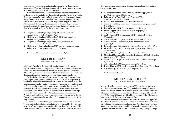**does not, however, assign them this status: the collection remains a category of its own.**

- **4 Lithographs of the "Poirè"-Series, Louis Philippe, 1830s, ca. 30 x 24 cm, framed 45 x 35 cm**
- **Polaroid of Cy Twombly by Ugo Ferranti, 1980, 7,8 x 7,8 cm, framed 45 x 35 cm**
- **6 books with color charts, 24 x 40 cm and smaller**
- **Anonymous, 1892, ink on vintage albumen print, original mount, 14,1 x 10,1 cm**
- **Lovis Corinth, 1923, charcoal on paper, 15,1 x 18 cm**
- **Oswald Egger, 2014, black and red pen on paper, glue, 17,5 x 14 x 6,5 cm**
- **Andrè Kertèz, (Alice Hartmann), 1929, vintage silver print, 13,6 x 6,8 cm**
- **Michaela Maria Langenstein, 2014, photogram, 9,3 x 8 cm**
- **Michaela Maria Langenstein, 1988, vintage silver print, 13,7 x 19,9 cm**
- **Jochen Lempert, 2004, pencil on vintage silver print, 16,9 x 12,5 cm**
- **Gebrüder Lützel, 1903, 2 vintage silver prints, original mount, 14,6 x 10 each**
- **Alberto Malatesta, 1956, pencil on paper, 7,1 x 11,7 cm**
- **Giorgio di Noto, proof for the series The Iceberg, 2015, UV invisible ink on paper, 29,7 x 21 cm**
- **Mario Praz, 1950, printed visit card with annotations in envelope, 6,5 x 10 cm**
- **Alison Turnbull, 2007, pencil on paper, 34 x 25,1 cm**
- **Richard Tuttle, 1978, pencil and colored pencil on paper, 9,3 x 13,7 cm**
- **Aby Warburg, ca. 1928, vintage silver print, 14 x 21,5 cm**

**Collection Max Renkel**

# **MICHAEL RIEDEL [16]**

*\*1972 in Rüsselsheim, lives in Frankfurt*

**Michael Riedel's sound archive comprises 300 mini discs, which were recorded between 1997 and 2007. They include recordings of conversations and events, which were later transcribed and distributed via the different media the artist uses for his art. The recordings last for a total of 85.645 minutes (60 days) of which 12.235 minutes (9 days) have so far been transcribed. The procedure lasted 45 days.** 

**The relation between communication and information is typical of Riedel's work. The mini discs in the archive contain social material, which was reshaped within the process of archiving. Riedel recorded conversations between artists, curators and friends as well as occasions, which he expanded into new events, posters, installations and paintings. Through** 

**be seen in the sediments, meaning the future rocks. Furthermore, the population of fossils will change dramatically due to the mass extinction of various types of fossils in the last 200 years.** 

**One of the major reasons for these changes is the burning of fossil fuel and one of the main by-products of the Industrial Revolution: plastic. Standing for popular culture, plastic objects often replace ceramic items today. Ceramic is won from half-fossilized earth and is in itself already a kind of fossil. For this reason, Pellizzi began collecting plastic objects at Mexican markets, casting them in porcelain. Thereby, they were transformed back into the material, which replaced them and became fossils themselves, which will exist for the next 200 years at most.**

- **Disjecta Membra Populi I (in Red), 2013, fired porcelain, enamel and plywood, 194 x 75 x 40 cm**
- **Disjecta Membra Populi I (in Yellow), 2013, fired porcelain, enamel and plywood, 194 x 75 x 40 cm**
- **Disjecta Membra Populi I (in Blue), 2013, fired porcelain, enamel and plywood, 194 x 75 x 4 0cm**
- **Disjecta Membra Archeologica, 2013***,* **plastic, ceramic and stone debris in wood and glass vitrine, 96 x 195 x 54 cm**

**Courtesy of the artist and Galerie Loevenbruck, Paris**

# **MAX RENKEL [15]**

*\*1966 in Munich, lives in Rome*

**Max Renkel explores the possibilities of the complex limits the figurative has to offer, in his painting. Women's bodies that have been translated into color fields shift from representation to abstraction. The bodies, which have been embedded into the surface of color fields, disappear in certain places and become visual on another level.**

**In Renkel's collection of posters and invitations, drawings, books, autographs, photographs, etchings and other artist's work primarily created on paper, the story of abstraction and the way in which the art market operates, plays an important role. The selective compilation of each object follows a certain order: each element is like a phrase that serves an overall argument whilst keeping its autonomy. At the same time, each collection item creates a microcosm in which the concept of over 1.200 pieces from 1.760 to date are mirrored once more. A photograph by Jochen Lempert meets a charcoal drawing by Lovis Corinth, a business card from Mario Praz meets a vintage print from Aby Warburg.** 

**The works are stored safely in cardboard boxes and are Renkel's source for intellectual discourse. Presented to the public they are reminiscent of contemporary art works, which are based on the assembly and the new contextualization of acquired pictures. The artist himself**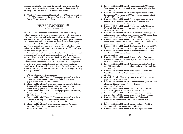- **Robert und Reinhold Brendel: Puccinia graminis / Grasrost, Spermogonium, ca. 1900, wooden base, paper-mâché, oil colors, 42 x 26 x 13 cm**
- **Robert und Reinhold Brendel: Puccinia graminis / Grasrost, Keimung der Uredospore, ca. 1900, wooden base, paper-mâché, oil colors, 25 x 19 x 13 cm**
- **Robert und Reinhold Brendel: Puccinia graminis / Grasrost, Halber Rasen von Uredolinearis, ca. 1900, wooden base, paper-mâché, oil colors, 26 x 15 x 15 cm**
- **Robert und Reinhold Brendel: Puccinia graminis / Grasrost, Keimende Teleutospore, ca. 1900, wooden base, paper-mâché, oil colors, 49 x 25 x 13 cm**
- **Robert und Reinhold Brendel: Pinus sylvestris / Kiefer ganzer männlicher Zapfen und einzelne Schuppe, ca.1900, wooden base, paper-mâché, oil colors, gelatine, 39 x 25 x 12 cm**
- **Robert und Reinhold Brendel: Pinus sylvestris / Kiefer ganzer männlicher Zapfen und einzelne Schuppe, ca. 1900, wooden base, paper-mâché, oil colors, gelatine, 43 x 24 x 13 cm**
- **Robert und Reinhold Brendel: Secale cereale/ Roggen, ca. 1900, Wooden base, paper-mâché, oil colors, gelatine, 88 x 40 x 14 cm**
- **Robert und Reinhold Brendel: Hordeum distichum / Gerste, Ährchen, ca. 1900, wooden base, paper-mâché, wood, oil colors, gelatine, feathers**
- **Robert und Reinhold Brendel: Triticum vulgare / Weizen, Ährchen, ca. 1900, wooden base, paper-mâché, oil colors, wire, gelatine, 53 x 34 x 19 cm**
- **Robert und Reinhold Brendel: Avena sativa / Hafer, Ährchen, ca. 1900, wooden base, paper-mâché, oil colors, feathers, gelatine, 32 x 64 x 15 cm**
- **Robert und Reinhold Brendel: Zea Mays / Mais Blüte und Fruchtdurchschnitt, ca. 1900, wooden base, paper-mâché, wire, oil colors**
- **Gebrüder Brendel: Triticum gramineae, ca. 1900, wooden base, paper-mâché, oil colors, 38 x 37 x 15 cm**
- **Robert und Reinhold Brendel: Gerade Samenanlage von Rheum officinale / Rhabarber, ca. 1900, wooden base, paper-mâché, oil colors**
- **Robert und Reinhold Brendel: Ficus carica / Feige, ca. 1900, wooden base, paper-mâché, oil colors, 35 x 16 x 14 cm**
- **Robert und Reinhold Brendel: Fraxinus excelsior / Esche Zwitterblüte, ca. 1900, wooden base, paper-mâché, oil colors**
- **Robert und Reinhold Brendel: Salix alba / Silberweide, männliche und weibliche Blüte, ca. 1900, wooden base, paper-mâché, oil colors, hair**
- **Robert und Reinhold Brendel: Betula pendula / Weißbirke, ca. 1900,wooden base, paper-mâché, oil colors**
- **Robert und Reinhold Brendel: Spaltöffnung vom Helleborus**

**this procedure, Riedel connects digital technologies and manual labor, creating an awareness of how communication establishes situational meaning at the interface of social issues and information.** 

 **Untitled (Tonaufnahmen, MiniDiscs), 1999-2007, 548 MiniDiscs, 137 x 232 cm, courtesy of the artist, David Zwirner, Gabriele Senn, Bischoff Projects and Michel Rein**

# **HUBERT SCHEIBL [17]**

*\*1952 in Gmunden, lives in Vienna*

**Hubert Scheibl is primarily known for his large-sized paintings. In** *Individual Stories,* **he gives us a glimpse into his collection of scientific objects of study, which he has gathered over the last years. The objects are enlarged models of biological systems, plants and bacteria. Robert and Reinhold Brendel designed them as teaching tools in Berlin at the end of the 19th century. The fragile models are made out of paper mâché, wood, shirting, glass pearls, hair, feathers, gelatin and oil paints. Their richness of forms is reminiscent of Scheibl's own abstract color compositions.**

**Scheibl is especially interested in the abstract structures, vegetable ornaments, herbal genesis and metamorphosis, which occur in nature and become visible by a dissection into different modules and fragments. At the same time, it is possible to discover different shapes and structures in the models of the plants, which have accompanied the artist in his work, leading him to the question of a vegetative genetic print within our cell's nucleus. Scheibl is searching for his own primal evolutionary current, which he wishes to find through painting, drawing, or music.**

**Private collection of scientific models.**

- **Robert und Reinhold Brendel: Claviceps purpurea / Mutterkorn, Reifes Köpfchen im Durchschnitt, ca. 1900, wooden base, paper-mâché, oil colors, 32 x 13 x 13 cm**
- **Robert und Reinhold Brendel: Claviceps purpurea / Mutterkorn, Sporenschlauch mit den fadenförmigen Sporen, ca. 1900, wooden base, paper-mâché, oil colors, glass, 27 x 13 x 13 cm**
- **Robert und Reinhold Brendel: Claviceps purpurea / Mutterkorn, Selerotinum, ca. 1900, wooden base, paper-mâché, oil colors, 38 x 19 x 13 cm**
- **Robert und Reinhold Brendel: Claviceps purpurea / Mutterkorn, Ausschnitt des Köpfchens mit drei Pretithecin, ca. 1900, wooden base, paper-mâché, oil colors, 36 x 24 x 13 cm**
- **Robert und Reinhold Brendel: Puccinia graminis / Grasrost, Aecidium Berberis, ca. 1900, wooden base, paper-mâché, oil colors, 40 x 32 x 15 cm**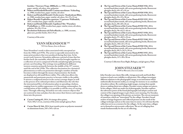- **The Ups and Downs of the Cactus Mania #1868/1926, 2014, second hand plant stands, old cactus gardening books, fluorescent plexiglas sheets, 69 x 47 x 41 cm**
- **The Ups and Downs of the Cactus Mania #1928/1930, 2014, second hand plant stands, old cactus gardening books, fluorescent plexiglas sheets, 81 x 52 x 30 cm**
- **The Ups and Downs of the Cactus Mania #1929/1935, 2014, second hand plant stands, old cactus gardening books, fluorescent plexiglas sheets, 80 x 68 x 26 cm**
- **The Ups and Downs of the Cactus Mania #1930/1931, 2014, second hand plant stands, old cactus gardening books, fluorescent plexiglas sheets, 96 x 62,5 x 44 cm**
- **The Ups and Downs of the Cactus Mania #1927/1938, 2014, second hand plant stands, old cactus gardening books, fluorescent plexiglas sheets, 97 x 48,5 x 24 cm**
- **The Ups and Downs of the Cactus Mania #1925/1948, 2014, second hand plant stands, old cactus gardening books, fluorescent plexiglas sheets, 102 x 61 x 35 cm**
- $\overline{\bullet}$  The Ups and Downs of the Cactus Mania #1930/1936, 2014, **second hand plant stands, old cactus gardening books, fluorescent plexiglas sheets, 89,5 x 24,5 x 39 cm**
- **The Ups and Downs of the Cactus Mania #1903/1935, 2014, second hand plant stands, old cactus gardening books, fluorescent plexiglas sheets, 117 x 90 x 30 cm**

**Courtesy Collection Enea Righi, Bologna, and gb agency, Paris**

# **JOHN STEZAKER [19]**

*\*1949 in Worcester, lives in London*

**John Stezaker uses classic film stills, vintage postcards and book illustrations to lend a new visibility to old pictures. His collages investigate different relations to the photographic image: as an instrument which authentically documents reality, as a storage for memory or as a medium of modern culture. By combining single images, turning them upside down or making them into collages, Stezaker creates unique new pieces. In his collages, which are made out of photographs, Stezaker explores the subversive power of the found photographs and adopts content and context of the original images to give them a new meaning. For Stezaker, the collage is an opening of the picture, an incision. The cuts are moments of transition, which are "interrupted" by the collage. Stezaker's broad archive of image fragments and collected pictures are the result of the collage technique and are at the same time its source. It is obvious that the collection serves as a resource for the collages. At the same time, collages are in themselves microcosmic collections. The act of collaging then stands fundamentally for the act of collecting.**

**foetidus / Nieswurz (Vergr. 2000fach), ca. 1900, wooden base, paper-mâché, oil colors, wire, gelantine**

- **Robert und Reinhold Brendel: Conium maculatum / Schierling, ca. 1900, wooden base, paper-mâché, oil colors**
- **Robert und Reinhold Brendel: Orchis morio / Knabenkraut Blüte, ca. 1900, wooden base, paper-mâché, oil colors, 34 x 19 x 13 cm**
- **Robert Brendel: Euphorbia cyparissas / Cypressen-Wolfsmilch, 1875, wooden base, paper-mâché, oil colors**
- **Robert und Reinhold Brendel: Aspidium Filix / Wurmfarn Prothallium, ca. 1900, wooden base, paper-mâché, straw, oil colors, gelatine, 38 x 30 x 13 cm**
- **Beschnitzte Kokosnuss als Pulverflasche, ca. 1800, coconut, glass eyes, powder feeder, 10,5 x 9 cm**

**Courtesy of the artist**

# **YANN SÉRANDOUR [18]** *\*1974 in Vannes, lives in Rennes*

**Yann Sérandour's work is often associated with conceptual art from the 1960s and 1970s. The artist is especially interested in the many print products that were produced during that time. In his recent work, however, Sérandour addresses a period of time that lies further back: the ensemble, which the artist has brought together as a collection of cacti is composed of books and photographs picturing private cacti breeding. The writings were published in different**  western countries primarily between the middle of the 19<sup>th</sup> century **until the end of the 1930s. The collective fascination for a botanical phenomenon as well as its promotion through a number of books becomes evident through the means of presentation: the books are displayed on old small flower tables. The collection allows the amateurish and passionate practice to become visible to the public. It mirrors a sculptural interest in the cactus's strange shapes as well as the process of its cultural prevalence and illustrates the role that the international flow of information plays in spreading a fashion, ranging from its sudden appearance to it becoming commonplace. In consideration of this visibility, it is possible to tell the story of varying taste. Through collecting, Sérandour not only connects objects that are scattered in time and place but also seizes their history and expands them into the present.**

- **Cactus Cuttings #1, 2014, 16 vintage silver prints, 74,6 x 104,7 x 6 cm, courtesy of the artist and gb agency, Paris**
- **Cactus Show & Sale, 2014, heat transfer print on polyester mounted on aluminium frame, 245 x 345 x 4,8 cm**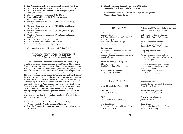- **3rd Person Archive, 1976, present image fragment, 2,4 x 2,1 cm**
- **3rd Person Archive, 1976, present image fragment, 1,9 x 3 cm**
- **3rd Person Series (Rendez-vous), 2011, 2 image fragment, each 3,3 x 3,9 cm**
- **Damage III, 2008, found image, 25,6 x 20,3 cm**
- **Man and Light III, 2004-2012, 3 image fragment, each 31,9 x 23,4 cm**
- **Untitled (Unassisted Readymades) III, 2007, found image, 23 x 19,1 cm**
- **Untitled (Unassisted Readymades) IV, 2007, found image, 20,6 x 25,4 cm**
- **Untitled (Unassisted Readymades) V***,* **2007, found image, 20,8 x 25,5 cm**
- **Untitled (Unassisted Readymades) VI, 2007, found image, 20,5 x 25,8**
- **Lost II, 2007, found image, 25,3 x 19,8 cm**
- **Lost III**, 2007, found image, 25,1 x 19,8 cm<br> **Lost IV**, 2007, found image, 25,3 x 20,6 cm
- **Lost IV, 2007, found image, 25,3 x 20,6 cm**

**Courtesy of the artist and The Approach Gallery, London**

# **JOHANNES WOHNSEIFER [20]**

*\*1967 in Cologne, lives in Cologne and Erftstadt*

**Artists collecting – Things in a different order** Sun  $28/6$ ,  $30/8 \& 4/10$ ,  $3 - 4$  p.m.

**Encyclopedia of Objects** Sun 5/7, 2/8, 6/9 & 11/10, 3 - 4 p.m.

### **Collecting (Hi)Stories – Talking Objects** Sun  $12/7$ ,  $9/8 \& 13/9$ ,  $3 - 4$  p.m.

### **Collecting, sorting & selecting** Sun  $19/7$ ,  $16/8 \& 20/9$ ,  $3 - 4$  p.m.

**Johannes Wohnseifer is primarily known for his paintings, collages and installations. His material for** *More in Common Than a Given Name,* **however, stems from his personal archive. It connects two men who, apart from their first name, seemingly have nothing else in common. For the last 15 years, Wohnseifer has been collecting press photos of the racing driver Peter Revson who passed away early. The artist combines the pictures with German painter Peter Brüning's illustrations, ephemera and books. Wohnseifer's selection, as presented mainly on eBay, shows that the search in itself as well as browsing and acquiring the pictures are an essential part of creation.** *More in Common Than a Given Name* **does not say why a connection between these two men should be established. It is a survey based on free associations and the seemingly random connections that emerge. The repeated presentation of his personal collection at Kunsthalle Wien makes the work something more of an artistic practice than a private collection: "In this regard, I am very indecisive. If I had all exhibits twice, it would be easier."**

### **From searching to finding: the collection as portrait**  Sun  $26/7$ ,  $23/8$  &  $27/9$ ,  $3 - 4$  p.m.

- **More In Common Than A Given Name, 2012-2015, 40 photographs by Peter Revson, each 41 x 35 cm**
- **More In Common Than A Given Name, 2012-2015, photograph, 50 x 60 cm**

 **More In Common Than A Given Name, 2012-2015, graphics by Peter Brüning, 95 x 70 cm – 82 x 63 cm**

 **Courtesy of the artist and Galerie Gisela Capitain, Cologne and Galerie Johann König, Berlin**

# PROGRAM

| TOURS                                 |
|---------------------------------------|
| <b>Curator's Tour</b>                 |
| with Anne-Claire Schmitz (in English) |
| Fri 26/6 at 2 p.m.                    |
| with Luca Lo Pinto (in English)       |
| Thu 23/7 at 7 p.m.                    |
|                                       |

### **Sunday tours**

Discover the individual stories behind the collected objects of international artists together with our art educators. Guided tours in German.

### **Long Night of Museums** Sat 3/10

8 p.m. – Encyclopedia of Objects 9 p.m. – From searching to finding: the collection as portrait

For more information on tours and education program, please contact: +43 (0)1 5 21 89-1253 vermittlung@kunsthallewien.at kunsthallewien.at/education

# COLOPHON

© 2015 Kunsthalle Wien GmbH

**Director** Nicolaus Schafhausen

**CFO** Ursula Hühnel-Benischek

### **Individual Stories** Collecting as Portrait and Methodology 26/6 – 11/10 2015

### **Exhibition Curators**

Luca Lo Pinto, Nicolaus Schafhausen, Anne-Claire Schmitz

### **Exhibition Management**

Veronika Floch, Karin Julia Haas

# **Construction Management**

Johannes Diboky

**Technicians**  Beni Ardolic, Frank Herberg, Mathias Kada, Othmar Stangl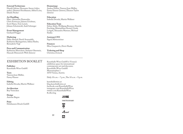# EXHIBITION BOOKLET

**Publisher** Kunsthalle Wien GmbH

**Texts** Vanessa Joan Müller, Fanny Hauser

**Editing** Isabella Drozda, Martin Walkner

**Art direction** Boy Vereecken

**Design** Antoine Begon

**Print** Holzhausen Druck GmbH

Kunsthalle Wien GmbH is Vienna's exhibition space for international contemporary art and discourse. Kunsthalle Wien GmbH Museumsplatz 1 1070 Vienna, Austria

Daily 10 a.m. – 7 p.m., Thu 10 a.m. – 9 p.m.

kunsthallewien.at blog.kunsthallewien.at facebook.com/KunsthalleWien instagram.com/KunsthalleWien twitter.com/KunsthalleWien #collecting

# WIEN**ELK**<br>KULTUR**NEL**K

DER STANDARD





illy

### **External Technicians**

Harald Adrian, Hermann Amon (video, audio), Dietmar Hochhauser, Alfred Lenz, Danilo Pacher

### **Art Handling**

Marc-Alexandre Dumoulin, Chris Fortescue, Johann Groebner, Scott Hayes, Tom Latzel, Johann Schoiswohl, Andi Schweger

# **Event Management**

Gerhard Prügger

### **Marketing**

Dalia Ahmed, David Avazzadeh, Katharina Baumgartner, Adina Hasler, Bernadette Vogl

### **Press and Communication**

Katharina Murschetz, Stefanie Obermeir, Hannah Hümmrich-Welt (Intern)

### **Dramaturgy**

Andrea Hubin, Vanessa Joan Müller, Fanny Hauser (Intern), Eleanor Taylor (Intern)

### **Education**

Isabella Drozda, Martin Walkner

### **Education Team**

Selma Abdic, Wolfgang Brunner, Daniela Fasching, Maximiliano Kostal, Ursula Leitgeb, Alexandra Matzner, Michael Simku

### **Assistant CFO**

Sigrid Mittersteiner

## **Finances**

Mira Gasparevic, Doris Hauke

### **Ticketing and Shop** Christina Zowack

**22**